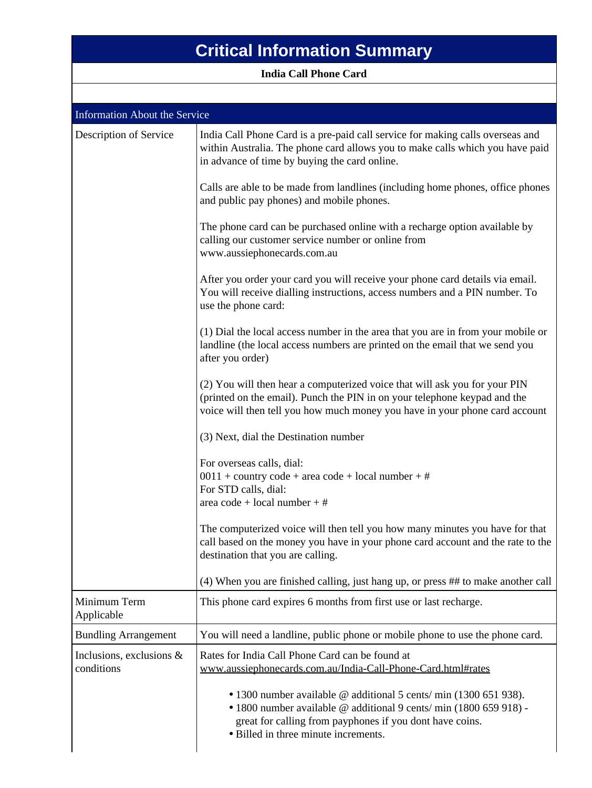## **Critical Information Summary**

**India Call Phone Card**

| <b>Information About the Service</b>   |                                                                                                                                                                                                                                                    |  |
|----------------------------------------|----------------------------------------------------------------------------------------------------------------------------------------------------------------------------------------------------------------------------------------------------|--|
| Description of Service                 | India Call Phone Card is a pre-paid call service for making calls overseas and<br>within Australia. The phone card allows you to make calls which you have paid<br>in advance of time by buying the card online.                                   |  |
|                                        | Calls are able to be made from landlines (including home phones, office phones<br>and public pay phones) and mobile phones.                                                                                                                        |  |
|                                        | The phone card can be purchased online with a recharge option available by<br>calling our customer service number or online from<br>www.aussiephonecards.com.au                                                                                    |  |
|                                        | After you order your card you will receive your phone card details via email.<br>You will receive dialling instructions, access numbers and a PIN number. To<br>use the phone card:                                                                |  |
|                                        | (1) Dial the local access number in the area that you are in from your mobile or<br>landline (the local access numbers are printed on the email that we send you<br>after you order)                                                               |  |
|                                        | (2) You will then hear a computerized voice that will ask you for your PIN<br>(printed on the email). Punch the PIN in on your telephone keypad and the<br>voice will then tell you how much money you have in your phone card account             |  |
|                                        | (3) Next, dial the Destination number                                                                                                                                                                                                              |  |
|                                        | For overseas calls, dial:<br>$0011 + \text{country code} + \text{area code} + \text{local number} + \#$<br>For STD calls, dial:<br>area $code + local number + #$                                                                                  |  |
|                                        | The computerized voice will then tell you how many minutes you have for that<br>call based on the money you have in your phone card account and the rate to the<br>destination that you are calling.                                               |  |
|                                        | (4) When you are finished calling, just hang up, or press ## to make another call                                                                                                                                                                  |  |
| Minimum Term<br>Applicable             | This phone card expires 6 months from first use or last recharge.                                                                                                                                                                                  |  |
| <b>Bundling Arrangement</b>            | You will need a landline, public phone or mobile phone to use the phone card.                                                                                                                                                                      |  |
| Inclusions, exclusions &<br>conditions | Rates for India Call Phone Card can be found at<br>www.aussiephonecards.com.au/India-Call-Phone-Card.html#rates                                                                                                                                    |  |
|                                        | • 1300 number available @ additional 5 cents/ min (1300 651 938).<br>$\bullet$ 1800 number available @ additional 9 cents/min (1800 659 918) -<br>great for calling from payphones if you dont have coins.<br>• Billed in three minute increments. |  |